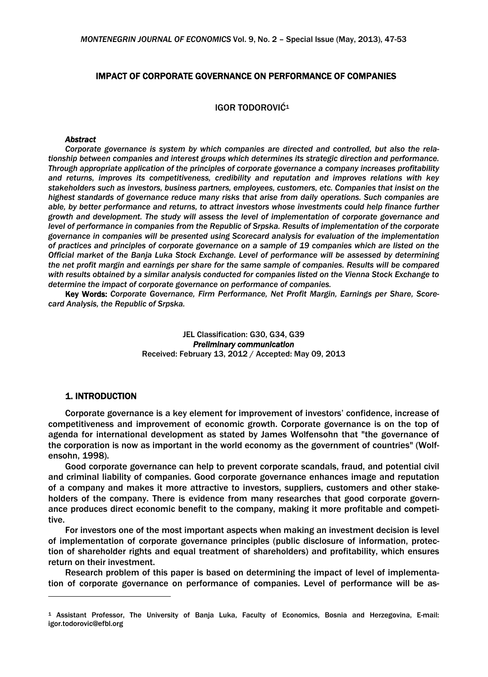# IMPACT OF CORPORATE GOVERNANCE ON PERFORMANCE OF COMPANIES

IGOR TODOROVIĆ<sup>1</sup>

## *Abstract*

*Corporate governance is system by which companies are directed and controlled, but also the relationship between companies and interest groups which determines its strategic direction and performance. Through appropriate application of the principles of corporate governance a company increases profitability and returns, improves its competitiveness, credibility and reputation and improves relations with key stakeholders such as investors, business partners, employees, customers, etc. Companies that insist on the highest standards of governance reduce many risks that arise from daily operations. Such companies are able, by better performance and returns, to attract investors whose investments could help finance further growth and development. The study will assess the level of implementation of corporate governance and level of performance in companies from the Republic of Srpska. Results of implementation of the corporate governance in companies will be presented using Scorecard analysis for evaluation of the implementation of practices and principles of corporate governance on a sample of 19 companies which are listed on the Official market of the Banja Luka Stock Exchange. Level of performance will be assessed by determining the net profit margin and earnings per share for the same sample of companies. Results will be compared with results obtained by a similar analysis conducted for companies listed on the Vienna Stock Exchange to determine the impact of corporate governance on performance of companies.* 

Key Words: *Corporate Governance, Firm Performance, Net Profit Margin, Earnings per Share, Scorecard Analysis, the Republic of Srpska.* 

> JEL Classification: G30, G34, G39 *Preliminary communication*  Received: February 13, 2012 / Accepted: May 09, 2013

# 1. INTRODUCTION

1

Corporate governance is a key element for improvement of investors' confidence, increase of competitiveness and improvement of economic growth. Corporate governance is on the top of agenda for international development as stated by James Wolfensohn that "the governance of the corporation is now as important in the world economy as the government of countries" (Wolfensohn, 1998).

Good corporate governance can help to prevent corporate scandals, fraud, and potential civil and criminal liability of companies. Good corporate governance enhances image and reputation of a company and makes it more attractive to investors, suppliers, customers and other stakeholders of the company. There is evidence from many researches that good corporate governance produces direct economic benefit to the company, making it more profitable and competitive.

For investors one of the most important aspects when making an investment decision is level of implementation of corporate governance principles (public disclosure of information, protection of shareholder rights and equal treatment of shareholders) and profitability, which ensures return on their investment.

Research problem of this paper is based on determining the impact of level of implementation of corporate governance on performance of companies. Level of performance will be as-

<sup>1</sup> Assistant Professor, The University of Banja Luka, Faculty of Economics, Bosnia and Herzegovina, E-mail: igor.todorovic@efbl.org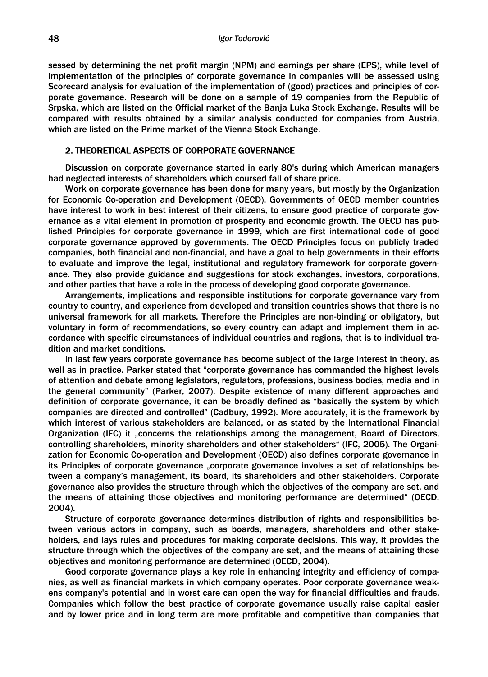sessed by determining the net profit margin (NPM) and earnings per share (EPS), while level of implementation of the principles of corporate governance in companies will be assessed using Scorecard analysis for evaluation of the implementation of (good) practices and principles of corporate governance. Research will be done on a sample of 19 companies from the Republic of Srpska, which are listed on the Official market of the Banja Luka Stock Exchange. Results will be compared with results obtained by a similar analysis conducted for companies from Austria, which are listed on the Prime market of the Vienna Stock Exchange.

# 2. THEORETICAL ASPECTS OF CORPORATE GOVERNANCE

Discussion on corporate governance started in early 80's during which American managers had neglected interests of shareholders which coursed fall of share price.

Work on corporate governance has been done for many years, but mostly by the Organization for Economic Co-operation and Development (OECD). Governments of OECD member countries have interest to work in best interest of their citizens, to ensure good practice of corporate governance as a vital element in promotion of prosperity and economic growth. The OECD has published Principles for corporate governance in 1999, which are first international code of good corporate governance approved by governments. The OECD Principles focus on publicly traded companies, both financial and non-financial, and have a goal to help governments in their efforts to evaluate and improve the legal, institutional and regulatory framework for corporate governance. They also provide guidance and suggestions for stock exchanges, investors, corporations, and other parties that have a role in the process of developing good corporate governance.

Arrangements, implications and responsible institutions for corporate governance vary from country to country, and experience from developed and transition countries shows that there is no universal framework for all markets. Therefore the Principles are non-binding or obligatory, but voluntary in form of recommendations, so every country can adapt and implement them in accordance with specific circumstances of individual countries and regions, that is to individual tradition and market conditions.

In last few years corporate governance has become subject of the large interest in theory, as well as in practice. Parker stated that "corporate governance has commanded the highest levels of attention and debate among legislators, regulators, professions, business bodies, media and in the general community" (Parker, 2007). Despite existence of many different approaches and definition of corporate governance, it can be broadly defined as "basically the system by which companies are directed and controlled" (Cadbury, 1992). More accurately, it is the framework by which interest of various stakeholders are balanced, or as stated by the International Financial Organization (IFC) it "concerns the relationships among the management, Board of Directors, controlling shareholders, minority shareholders and other stakeholders" (IFC, 2005). The Organization for Economic Co-operation and Development (OECD) also defines corporate governance in its Principles of corporate governance "corporate governance involves a set of relationships between a company's management, its board, its shareholders and other stakeholders. Corporate governance also provides the structure through which the objectives of the company are set, and the means of attaining those objectives and monitoring performance are determined" (OECD, 2004).

Structure of corporate governance determines distribution of rights and responsibilities between various actors in company, such as boards, managers, shareholders and other stakeholders, and lays rules and procedures for making corporate decisions. This way, it provides the structure through which the objectives of the company are set, and the means of attaining those objectives and monitoring performance are determined (OECD, 2004).

Good corporate governance plays a key role in enhancing integrity and efficiency of companies, as well as financial markets in which company operates. Poor corporate governance weakens company's potential and in worst care can open the way for financial difficulties and frauds. Companies which follow the best practice of corporate governance usually raise capital easier and by lower price and in long term are more profitable and competitive than companies that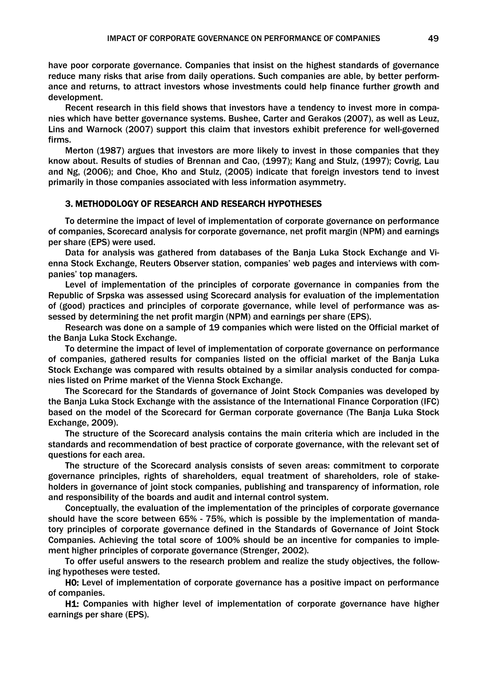have poor corporate governance. Companies that insist on the highest standards of governance reduce many risks that arise from daily operations. Such companies are able, by better performance and returns, to attract investors whose investments could help finance further growth and development.

Recent research in this field shows that investors have a tendency to invest more in companies which have better governance systems. Bushee, Carter and Gerakos (2007), as well as Leuz, Lins and Warnock (2007) support this claim that investors exhibit preference for well-governed firms.

Merton (1987) argues that investors are more likely to invest in those companies that they know about. Results of studies of Brennan and Cao, (1997); Kang and Stulz, (1997); Covrig, Lau and Ng, (2006); and Choe, Kho and Stulz, (2005) indicate that foreign investors tend to invest primarily in those companies associated with less information asymmetry.

# 3. METHODOLOGY OF RESEARCH AND RESEARCH HYPOTHESES

To determine the impact of level of implementation of corporate governance on performance of companies, Scorecard analysis for corporate governance, net profit margin (NPM) and earnings per share (EPS) were used.

Data for analysis was gathered from databases of the Banja Luka Stock Exchange and Vienna Stock Exchange, Reuters Observer station, companies' web pages and interviews with companies' top managers.

Level of implementation of the principles of corporate governance in companies from the Republic of Srpska was assessed using Scorecard analysis for evaluation of the implementation of (good) practices and principles of corporate governance, while level of performance was assessed by determining the net profit margin (NPM) and earnings per share (EPS).

Research was done on a sample of 19 companies which were listed on the Official market of the Banja Luka Stock Exchange.

To determine the impact of level of implementation of corporate governance on performance of companies, gathered results for companies listed on the official market of the Banja Luka Stock Exchange was compared with results obtained by a similar analysis conducted for companies listed on Prime market of the Vienna Stock Exchange.

The Scorecard for the Standards of governance of Joint Stock Companies was developed by the Banja Luka Stock Exchange with the assistance of the International Finance Corporation (IFC) based on the model of the Scorecard for German corporate governance (The Banja Luka Stock Exchange, 2009).

The structure of the Scorecard analysis contains the main criteria which are included in the standards and recommendation of best practice of corporate governance, with the relevant set of questions for each area.

The structure of the Scorecard analysis consists of seven areas: commitment to corporate governance principles, rights of shareholders, equal treatment of shareholders, role of stakeholders in governance of joint stock companies, publishing and transparency of information, role and responsibility of the boards and audit and internal control system.

Conceptually, the evaluation of the implementation of the principles of corporate governance should have the score between 65% - 75%, which is possible by the implementation of mandatory principles of corporate governance defined in the Standards of Governance of Joint Stock Companies. Achieving the total score of 100% should be an incentive for companies to implement higher principles of corporate governance (Strenger, 2002).

To offer useful answers to the research problem and realize the study objectives, the following hypotheses were tested.

H0: Level of implementation of corporate governance has a positive impact on performance of companies.

H1: Companies with higher level of implementation of corporate governance have higher earnings per share (EPS).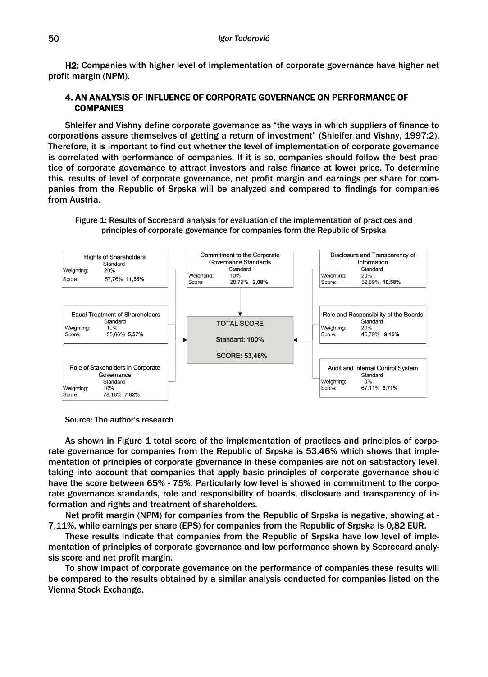H2: Companies with higher level of implementation of corporate governance have higher net profit margin (NPM).

# 4. AN ANALYSIS OF INFLUENCE OF CORPORATE GOVERNANCE ON PERFORMANCE OF **COMPANIES**

Shleifer and Vishny define corporate governance as "the ways in which suppliers of finance to corporations assure themselves of getting a return of investment" (Shleifer and Vishny, 1997:2). Therefore, it is important to find out whether the level of implementation of corporate governance is correlated with performance of companies. If it is so, companies should follow the best practice of corporate governance to attract investors and raise finance at lower price. To determine this, results of level of corporate governance, net profit margin and earnings per share for companies from the Republic of Srpska will be analyzed and compared to findings for companies from Austria.





Source: The author's research

As shown in Figure 1 total score of the implementation of practices and principles of corporate governance for companies from the Republic of Srpska is 53,46% which shows that implementation of principles of corporate governance in these companies are not on satisfactory level, taking into account that companies that apply basic principles of corporate governance should have the score between 65% - 75%. Particularly low level is showed in commitment to the corporate governance standards, role and responsibility of boards, disclosure and transparency of information and rights and treatment of shareholders.

Net profit margin (NPM) for companies from the Republic of Srpska is negative, showing at - 7,11%, while earnings per share (EPS) for companies from the Republic of Srpska is 0,82 EUR.

These results indicate that companies from the Republic of Srpska have low level of implementation of principles of corporate governance and low performance shown by Scorecard analysis score and net profit margin.

To show impact of corporate governance on the performance of companies these results will be compared to the results obtained by a similar analysis conducted for companies listed on the Vienna Stock Exchange.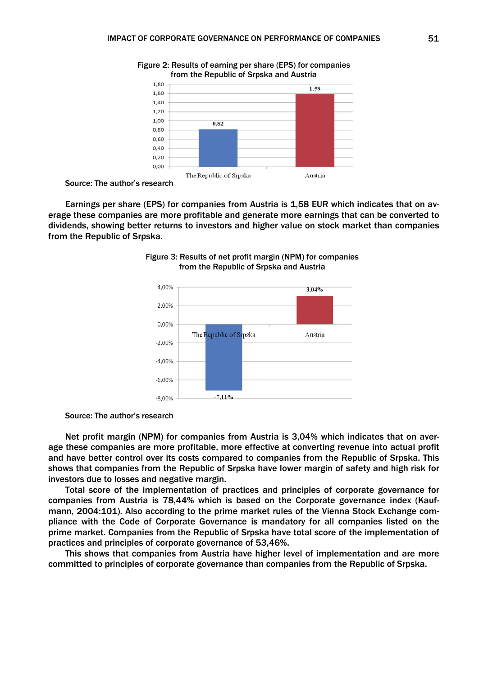



Earnings per share (EPS) for companies from Austria is 1,58 EUR which indicates that on average these companies are more profitable and generate more earnings that can be converted to dividends, showing better returns to investors and higher value on stock market than companies from the Republic of Srpska.



Figure 3: Results of net profit margin (NPM) for companies from the Republic of Srpska and Austria

Net profit margin (NPM) for companies from Austria is 3,04% which indicates that on average these companies are more profitable, more effective at converting revenue into actual profit and have better control over its costs compared to companies from the Republic of Srpska. This shows that companies from the Republic of Srpska have lower margin of safety and high risk for investors due to losses and negative margin.

Total score of the implementation of practices and principles of corporate governance for companies from Austria is 78,44% which is based on the Corporate governance index (Kaufmann, 2004:101). Also according to the prime market rules of the Vienna Stock Exchange compliance with the Code of Corporate Governance is mandatory for all companies listed on the prime market. Companies from the Republic of Srpska have total score of the implementation of practices and principles of corporate governance of 53,46%.

This shows that companies from Austria have higher level of implementation and are more committed to principles of corporate governance than companies from the Republic of Srpska.

Source: The author's research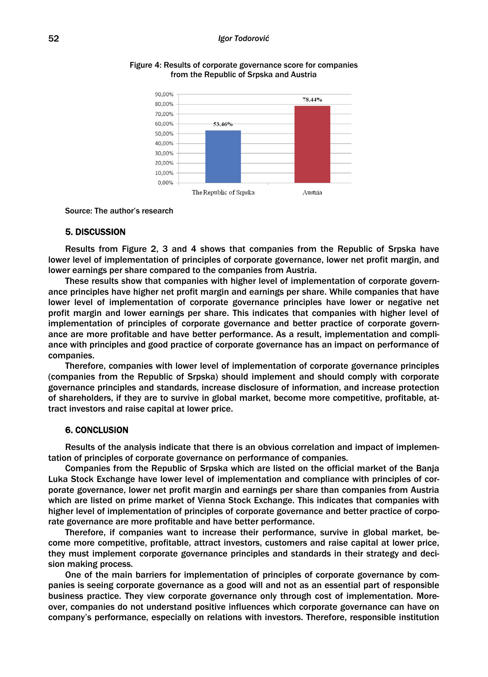### 52 *Igor Todorović*

![](_page_5_Figure_1.jpeg)

Figure 4: Results of corporate governance score for companies from the Republic of Srpska and Austria

Source: The author's research

### 5. DISCUSSION

Results from Figure 2, 3 and 4 shows that companies from the Republic of Srpska have lower level of implementation of principles of corporate governance, lower net profit margin, and lower earnings per share compared to the companies from Austria.

These results show that companies with higher level of implementation of corporate governance principles have higher net profit margin and earnings per share. While companies that have lower level of implementation of corporate governance principles have lower or negative net profit margin and lower earnings per share. This indicates that companies with higher level of implementation of principles of corporate governance and better practice of corporate governance are more profitable and have better performance. As a result, implementation and compliance with principles and good practice of corporate governance has an impact on performance of companies.

Therefore, companies with lower level of implementation of corporate governance principles (companies from the Republic of Srpska) should implement and should comply with corporate governance principles and standards, increase disclosure of information, and increase protection of shareholders, if they are to survive in global market, become more competitive, profitable, attract investors and raise capital at lower price.

## 6. CONCLUSION

Results of the analysis indicate that there is an obvious correlation and impact of implementation of principles of corporate governance on performance of companies.

Companies from the Republic of Srpska which are listed on the official market of the Banja Luka Stock Exchange have lower level of implementation and compliance with principles of corporate governance, lower net profit margin and earnings per share than companies from Austria which are listed on prime market of Vienna Stock Exchange. This indicates that companies with higher level of implementation of principles of corporate governance and better practice of corporate governance are more profitable and have better performance.

Therefore, if companies want to increase their performance, survive in global market, become more competitive, profitable, attract investors, customers and raise capital at lower price, they must implement corporate governance principles and standards in their strategy and decision making process.

One of the main barriers for implementation of principles of corporate governance by companies is seeing corporate governance as a good will and not as an essential part of responsible business practice. They view corporate governance only through cost of implementation. Moreover, companies do not understand positive influences which corporate governance can have on company's performance, especially on relations with investors. Therefore, responsible institution